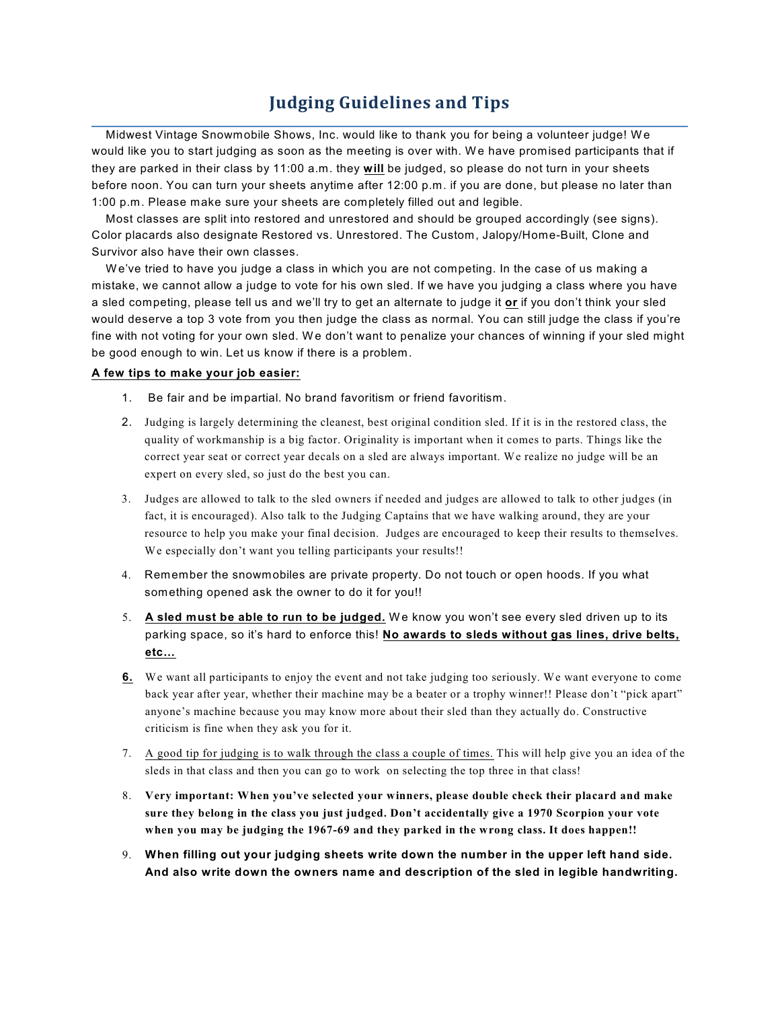## **Judging Guidelines and Tips**

Midwest Vintage Snowmobile Shows, Inc. would like to thank you for being a volunteer judge! W e would like you to start judging as soon as the meeting is over with. We have promised participants that if they are parked in their class by 11:00 a.m. they **will** be judged, so please do not turn in your sheets before noon. You can turn your sheets anytime after 12:00 p.m. if you are done, but please no later than 1:00 p.m. Please make sure your sheets are completely filled out and legible.

Most classes are split into restored and unrestored and should be grouped accordingly (see signs). Color placards also designate Restored vs. Unrestored. The Custom, Jalopy/Home-Built, Clone and Survivor also have their own classes.

W e've tried to have you judge a class in which you are not competing. In the case of us making a mistake, we cannot allow a judge to vote for his own sled. If we have you judging a class where you have a sled competing, please tell us and we'll try to get an alternate to judge it **or** if you don't think your sled would deserve a top 3 vote from you then judge the class as normal. You can still judge the class if you're fine with not voting for your own sled. We don't want to penalize your chances of winning if your sled might be good enough to win. Let us know if there is a problem.

## **A few tips to make your job easier:**

- 1. Be fair and be impartial. No brand favoritism or friend favoritism.
- 2. Judging is largely determining the cleanest, best original condition sled. If it is in the restored class, the quality of workmanship is a big factor. Originality is important when it comes to parts. Things like the correct year seat or correct year decals on a sled are always important. We realize no judge will be an expert on every sled, so just do the best you can.
- 3. Judges are allowed to talk to the sled owners if needed and judges are allowed to talk to other judges (in fact, it is encouraged). Also talk to the Judging Captains that we have walking around, they are your resource to help you make your final decision. Judges are encouraged to keep their results to themselves. We especially don't want you telling participants your results!!
- 4. Remember the snowmobiles are private property. Do not touch or open hoods. If you what something opened ask the owner to do it for you!!
- 5. **A sled must be able to run to be judged.** W e know you won't see every sled driven up to its parking space, so it's hard to enforce this! **No awards to sleds without gas lines, drive belts, etc…**
- **6.** We want all participants to enjoy the event and not take judging too seriously. We want everyone to come back year after year, whether their machine may be a beater or a trophy winner!! Please don't "pick apart" anyone's machine because you may know more about their sled than they actually do. Constructive criticism is fine when they ask you for it.
- 7. A good tip for judging is to walk through the class a couple of times. This will help give you an idea of the sleds in that class and then you can go to work on selecting the top three in that class!
- 8. **Very important: When you've selected your winners, please double check their placard and make sure they belong in the class you just judged. Don't accidentally give a 1970 Scorpion your vote when you may be judging the 1967-69 and they parked in the wrong class. It does happen!!**
- 9. **When filling out your judging sheets write down the number in the upper left hand side. And also write down the owners name and description of the sled in legible handwriting.**